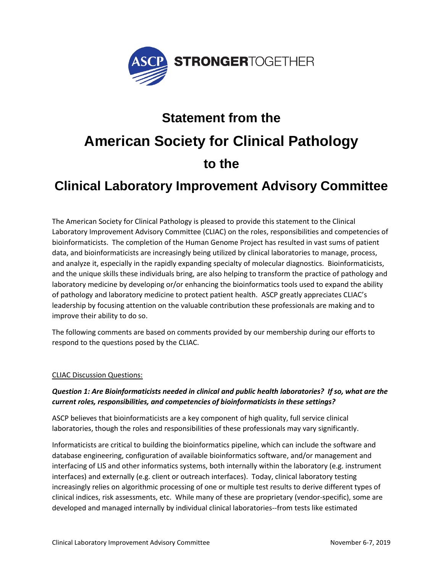

# **Statement from the American Society for Clinical Pathology to the**

## **Clinical Laboratory Improvement Advisory Committee**

The American Society for Clinical Pathology is pleased to provide this statement to the Clinical Laboratory Improvement Advisory Committee (CLIAC) on the roles, responsibilities and competencies of bioinformaticists. The completion of the Human Genome Project has resulted in vast sums of patient data, and bioinformaticists are increasingly being utilized by clinical laboratories to manage, process, and analyze it, especially in the rapidly expanding specialty of molecular diagnostics. Bioinformaticists, and the unique skills these individuals bring, are also helping to transform the practice of pathology and laboratory medicine by developing or/or enhancing the bioinformatics tools used to expand the ability of pathology and laboratory medicine to protect patient health. ASCP greatly appreciates CLIAC's leadership by focusing attention on the valuable contribution these professionals are making and to improve their ability to do so.

The following comments are based on comments provided by our membership during our efforts to respond to the questions posed by the CLIAC.

#### CLIAC Discussion Questions:

### *Question 1: Are Bioinformaticists needed in clinical and public health laboratories? If so, what are the current roles, responsibilities, and competencies of bioinformaticists in these settings?*

ASCP believes that bioinformaticists are a key component of high quality, full service clinical laboratories, though the roles and responsibilities of these professionals may vary significantly.

Informaticists are critical to building the bioinformatics pipeline, which can include the software and database engineering, configuration of available bioinformatics software, and/or management and interfacing of LIS and other informatics systems, both internally within the laboratory (e.g. instrument interfaces) and externally (e.g. client or outreach interfaces). Today, clinical laboratory testing increasingly relies on algorithmic processing of one or multiple test results to derive different types of clinical indices, risk assessments, etc. While many of these are proprietary (vendor-specific), some are developed and managed internally by individual clinical laboratories--from tests like estimated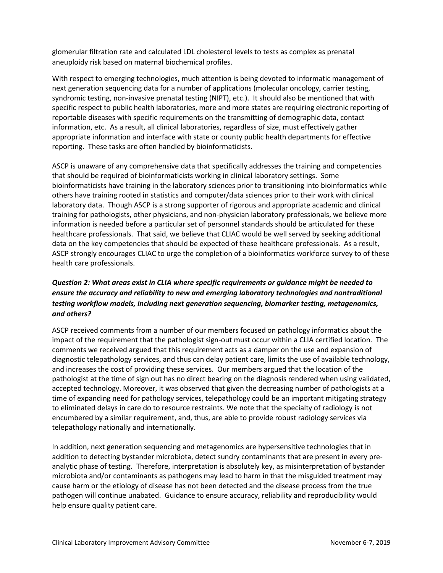glomerular filtration rate and calculated LDL cholesterol levels to tests as complex as prenatal aneuploidy risk based on maternal biochemical profiles.

With respect to emerging technologies, much attention is being devoted to informatic management of next generation sequencing data for a number of applications (molecular oncology, carrier testing, syndromic testing, non-invasive prenatal testing (NIPT), etc.). It should also be mentioned that with specific respect to public health laboratories, more and more states are requiring electronic reporting of reportable diseases with specific requirements on the transmitting of demographic data, contact information, etc. As a result, all clinical laboratories, regardless of size, must effectively gather appropriate information and interface with state or county public health departments for effective reporting. These tasks are often handled by bioinformaticists.

ASCP is unaware of any comprehensive data that specifically addresses the training and competencies that should be required of bioinformaticists working in clinical laboratory settings. Some bioinformaticists have training in the laboratory sciences prior to transitioning into bioinformatics while others have training rooted in statistics and computer/data sciences prior to their work with clinical laboratory data. Though ASCP is a strong supporter of rigorous and appropriate academic and clinical training for pathologists, other physicians, and non-physician laboratory professionals, we believe more information is needed before a particular set of personnel standards should be articulated for these healthcare professionals. That said, we believe that CLIAC would be well served by seeking additional data on the key competencies that should be expected of these healthcare professionals. As a result, ASCP strongly encourages CLIAC to urge the completion of a bioinformatics workforce survey to of these health care professionals.

#### *Question 2: What areas exist in CLIA where specific requirements or guidance might be needed to ensure the accuracy and reliability to new and emerging laboratory technologies and nontraditional testing workflow models, including next generation sequencing, biomarker testing, metagenomics, and others?*

ASCP received comments from a number of our members focused on pathology informatics about the impact of the requirement that the pathologist sign-out must occur within a CLIA certified location. The comments we received argued that this requirement acts as a damper on the use and expansion of diagnostic telepathology services, and thus can delay patient care, limits the use of available technology, and increases the cost of providing these services. Our members argued that the location of the pathologist at the time of sign out has no direct bearing on the diagnosis rendered when using validated, accepted technology. Moreover, it was observed that given the decreasing number of pathologists at a time of expanding need for pathology services, telepathology could be an important mitigating strategy to eliminated delays in care do to resource restraints. We note that the specialty of radiology is not encumbered by a similar requirement, and, thus, are able to provide robust radiology services via telepathology nationally and internationally.

In addition, next generation sequencing and metagenomics are hypersensitive technologies that in addition to detecting bystander microbiota, detect sundry contaminants that are present in every preanalytic phase of testing. Therefore, interpretation is absolutely key, as misinterpretation of bystander microbiota and/or contaminants as pathogens may lead to harm in that the misguided treatment may cause harm or the etiology of disease has not been detected and the disease process from the true pathogen will continue unabated. Guidance to ensure accuracy, reliability and reproducibility would help ensure quality patient care.